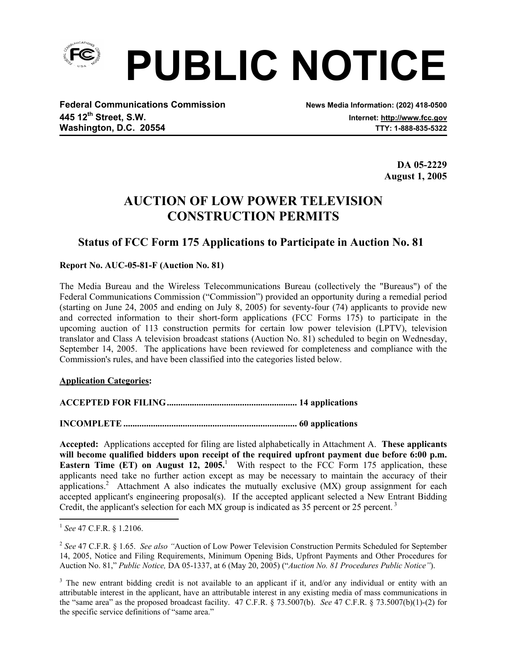

**PUBLIC NOTICE**

**Federal Communications Commission News Media Information: (202) 418-0500 445 12th Street, S.W. Internet: http://www.fcc.gov** Washington, D.C. 20554 **Washington, D.C. 20554** 

 **DA 05-2229 August 1, 2005** 

# **AUCTION OF LOW POWER TELEVISION CONSTRUCTION PERMITS**

## **Status of FCC Form 175 Applications to Participate in Auction No. 81**

**Report No. AUC-05-81-F (Auction No. 81)** 

The Media Bureau and the Wireless Telecommunications Bureau (collectively the "Bureaus") of the Federal Communications Commission ("Commission") provided an opportunity during a remedial period (starting on June 24, 2005 and ending on July 8, 2005) for seventy-four (74) applicants to provide new and corrected information to their short-form applications (FCC Forms 175) to participate in the upcoming auction of 113 construction permits for certain low power television (LPTV), television translator and Class A television broadcast stations (Auction No. 81) scheduled to begin on Wednesday, September 14, 2005. The applications have been reviewed for completeness and compliance with the Commission's rules, and have been classified into the categories listed below.

**Application Categories:** 

**ACCEPTED FOR FILING......................................................... 14 applications**

**INCOMPLETE ............................................................................ 60 applications** 

**Accepted:** Applications accepted for filing are listed alphabetically in Attachment A. **These applicants will become qualified bidders upon receipt of the required upfront payment due before 6:00 p.m. Eastern Time (ET) on August 12, 2005.**<sup>1</sup> With respect to the FCC Form 175 application, these applicants need take no further action except as may be necessary to maintain the accuracy of their applications.<sup>2</sup> Attachment A also indicates the mutually exclusive (MX) group assignment for each accepted applicant's engineering proposal(s). If the accepted applicant selected a New Entrant Bidding Credit, the applicant's selection for each MX group is indicated as 35 percent or 25 percent.<sup>3</sup>

 $\overline{a}$ 

<sup>1</sup> *See* 47 C.F.R. § 1.2106.

<sup>&</sup>lt;sup>2</sup> See 47 C.F.R. § 1.65. *See also* "Auction of Low Power Television Construction Permits Scheduled for September 14, 2005, Notice and Filing Requirements, Minimum Opening Bids, Upfront Payments and Other Procedures for Auction No. 81," *Public Notice,* DA 05-1337, at 6 (May 20, 2005) ("*Auction No. 81 Procedures Public Notice"*).

<sup>&</sup>lt;sup>3</sup> The new entrant bidding credit is not available to an applicant if it, and/or any individual or entity with an attributable interest in the applicant, have an attributable interest in any existing media of mass communications in the "same area" as the proposed broadcast facility. 47 C.F.R. § 73.5007(b). *See* 47 C.F.R. § 73.5007(b)(1)-(2) for the specific service definitions of "same area."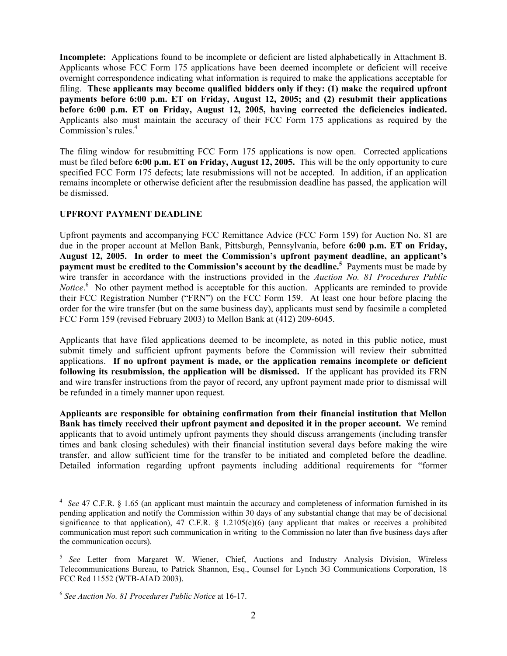**Incomplete:** Applications found to be incomplete or deficient are listed alphabetically in Attachment B. Applicants whose FCC Form 175 applications have been deemed incomplete or deficient will receive overnight correspondence indicating what information is required to make the applications acceptable for filing. **These applicants may become qualified bidders only if they: (1) make the required upfront payments before 6:00 p.m. ET on Friday, August 12, 2005; and (2) resubmit their applications before 6:00 p.m. ET on Friday, August 12, 2005, having corrected the deficiencies indicated.** Applicants also must maintain the accuracy of their FCC Form 175 applications as required by the Commission's rules.<sup>4</sup>

The filing window for resubmitting FCC Form 175 applications is now open. Corrected applications must be filed before **6:00 p.m. ET on Friday, August 12, 2005.** This will be the only opportunity to cure specified FCC Form 175 defects; late resubmissions will not be accepted. In addition, if an application remains incomplete or otherwise deficient after the resubmission deadline has passed, the application will be dismissed.

### **UPFRONT PAYMENT DEADLINE**

Upfront payments and accompanying FCC Remittance Advice (FCC Form 159) for Auction No. 81 are due in the proper account at Mellon Bank, Pittsburgh, Pennsylvania, before **6:00 p.m. ET on Friday, August 12, 2005. In order to meet the Commission's upfront payment deadline, an applicant's payment must be credited to the Commission's account by the deadline.<sup>5</sup> Payments must be made by** wire transfer in accordance with the instructions provided in the *Auction No. 81 Procedures Public Notice*.<sup>6</sup> No other payment method is acceptable for this auction. Applicants are reminded to provide their FCC Registration Number ("FRN") on the FCC Form 159. At least one hour before placing the order for the wire transfer (but on the same business day), applicants must send by facsimile a completed FCC Form 159 (revised February 2003) to Mellon Bank at (412) 209-6045.

Applicants that have filed applications deemed to be incomplete, as noted in this public notice, must submit timely and sufficient upfront payments before the Commission will review their submitted applications. **If no upfront payment is made, or the application remains incomplete or deficient following its resubmission, the application will be dismissed.** If the applicant has provided its FRN and wire transfer instructions from the payor of record, any upfront payment made prior to dismissal will be refunded in a timely manner upon request.

**Applicants are responsible for obtaining confirmation from their financial institution that Mellon Bank has timely received their upfront payment and deposited it in the proper account.** We remind applicants that to avoid untimely upfront payments they should discuss arrangements (including transfer times and bank closing schedules) with their financial institution several days before making the wire transfer, and allow sufficient time for the transfer to be initiated and completed before the deadline. Detailed information regarding upfront payments including additional requirements for "former

 4 *See* 47 C.F.R. § 1.65 (an applicant must maintain the accuracy and completeness of information furnished in its pending application and notify the Commission within 30 days of any substantial change that may be of decisional significance to that application), 47 C.F.R.  $\S$  1.2105(c)(6) (any applicant that makes or receives a prohibited communication must report such communication in writing to the Commission no later than five business days after the communication occurs).

<sup>5</sup>*See* Letter from Margaret W. Wiener, Chief, Auctions and Industry Analysis Division, Wireless Telecommunications Bureau, to Patrick Shannon, Esq., Counsel for Lynch 3G Communications Corporation, 18 FCC Rcd 11552 (WTB-AIAD 2003).

<sup>6</sup> *See Auction No. 81 Procedures Public Notice* at 16-17.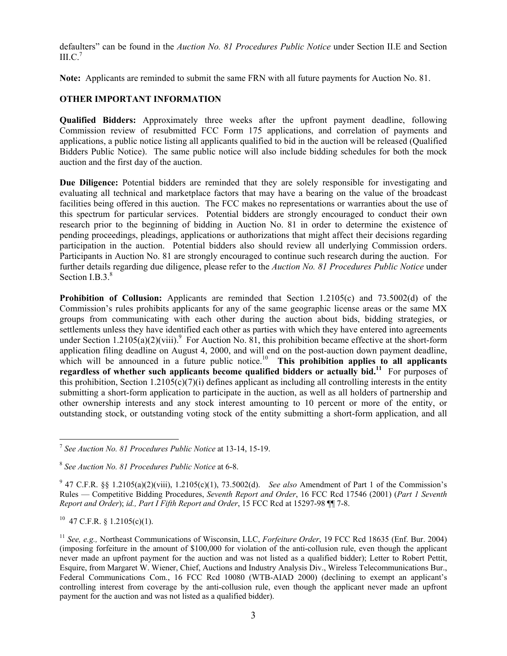defaulters" can be found in the *Auction No. 81 Procedures Public Notice* under Section II.E and Section  $\rm{III.C.}^7$ 

**Note:** Applicants are reminded to submit the same FRN with all future payments for Auction No. 81.

#### **OTHER IMPORTANT INFORMATION**

**Qualified Bidders:** Approximately three weeks after the upfront payment deadline, following Commission review of resubmitted FCC Form 175 applications, and correlation of payments and applications, a public notice listing all applicants qualified to bid in the auction will be released (Qualified Bidders Public Notice). The same public notice will also include bidding schedules for both the mock auction and the first day of the auction.

**Due Diligence:** Potential bidders are reminded that they are solely responsible for investigating and evaluating all technical and marketplace factors that may have a bearing on the value of the broadcast facilities being offered in this auction. The FCC makes no representations or warranties about the use of this spectrum for particular services. Potential bidders are strongly encouraged to conduct their own research prior to the beginning of bidding in Auction No. 81 in order to determine the existence of pending proceedings, pleadings, applications or authorizations that might affect their decisions regarding participation in the auction. Potential bidders also should review all underlying Commission orders. Participants in Auction No. 81 are strongly encouraged to continue such research during the auction. For further details regarding due diligence, please refer to the *Auction No. 81 Procedures Public Notice* under Section  $I.B.3<sup>8</sup>$ 

**Prohibition of Collusion:** Applicants are reminded that Section 1.2105(c) and 73.5002(d) of the Commission's rules prohibits applicants for any of the same geographic license areas or the same MX groups from communicating with each other during the auction about bids, bidding strategies, or settlements unless they have identified each other as parties with which they have entered into agreements under Section 1.2105(a)(2)(viii).<sup>9</sup> For Auction No. 81, this prohibition became effective at the short-form application filing deadline on August 4, 2000, and will end on the post-auction down payment deadline, which will be announced in a future public notice.<sup>10</sup> This prohibition applies to all applicants **regardless of whether such applicants become qualified bidders or actually bid.11** For purposes of this prohibition, Section 1.2105(c)(7)(i) defines applicant as including all controlling interests in the entity submitting a short-form application to participate in the auction, as well as all holders of partnership and other ownership interests and any stock interest amounting to 10 percent or more of the entity, or outstanding stock, or outstanding voting stock of the entity submitting a short-form application, and all

 $10$  47 C.F.R. § 1.2105(c)(1).

 $\overline{a}$ <sup>7</sup> *See Auction No. 81 Procedures Public Notice* at 13-14, 15-19.

<sup>8</sup> *See Auction No. 81 Procedures Public Notice* at 6-8.

<sup>&</sup>lt;sup>9</sup> 47 C.F.R. §§ 1.2105(a)(2)(viii), 1.2105(c)(1), 73.5002(d). *See also* Amendment of Part 1 of the Commission's Rules — Competitive Bidding Procedures, *Seventh Report and Order*, 16 FCC Rcd 17546 (2001) (*Part 1 Seventh Report and Order*); *id., Part I Fifth Report and Order*, 15 FCC Rcd at 15297-98 ¶¶ 7-8.

<sup>11</sup> *See, e.g.,* Northeast Communications of Wisconsin, LLC, *Forfeiture Order*, 19 FCC Rcd 18635 (Enf. Bur. 2004) (imposing forfeiture in the amount of \$100,000 for violation of the anti-collusion rule, even though the applicant never made an upfront payment for the auction and was not listed as a qualified bidder); Letter to Robert Pettit, Esquire, from Margaret W. Wiener, Chief, Auctions and Industry Analysis Div., Wireless Telecommunications Bur., Federal Communications Com., 16 FCC Rcd 10080 (WTB-AIAD 2000) (declining to exempt an applicant's controlling interest from coverage by the anti-collusion rule, even though the applicant never made an upfront payment for the auction and was not listed as a qualified bidder).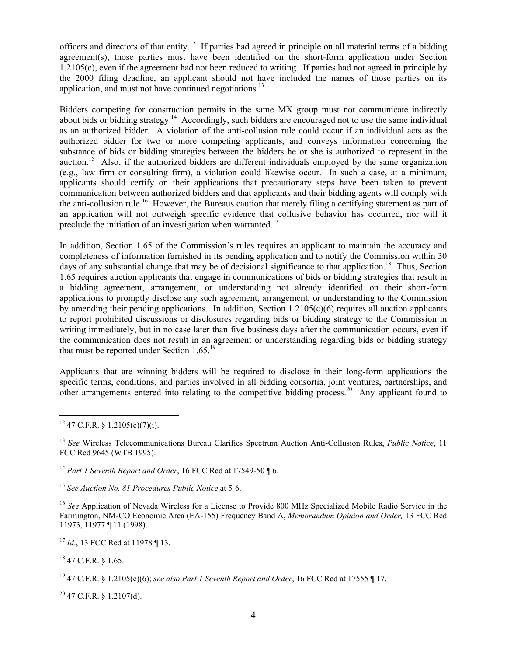officers and directors of that entity.12 If parties had agreed in principle on all material terms of a bidding agreement(s), those parties must have been identified on the short-form application under Section 1.2105(c), even if the agreement had not been reduced to writing. If parties had not agreed in principle by the 2000 filing deadline, an applicant should not have included the names of those parties on its application, and must not have continued negotiations. $^{13}$ 

Bidders competing for construction permits in the same MX group must not communicate indirectly about bids or bidding strategy.<sup>14</sup> Accordingly, such bidders are encouraged not to use the same individual as an authorized bidder. A violation of the anti-collusion rule could occur if an individual acts as the authorized bidder for two or more competing applicants, and conveys information concerning the substance of bids or bidding strategies between the bidders he or she is authorized to represent in the auction.15 Also, if the authorized bidders are different individuals employed by the same organization (e.g., law firm or consulting firm), a violation could likewise occur. In such a case, at a minimum, applicants should certify on their applications that precautionary steps have been taken to prevent communication between authorized bidders and that applicants and their bidding agents will comply with the anti-collusion rule.<sup>16</sup> However, the Bureaus caution that merely filing a certifying statement as part of an application will not outweigh specific evidence that collusive behavior has occurred, nor will it preclude the initiation of an investigation when warranted.<sup>17</sup>

In addition, Section 1.65 of the Commission's rules requires an applicant to maintain the accuracy and completeness of information furnished in its pending application and to notify the Commission within 30 days of any substantial change that may be of decisional significance to that application.<sup>18</sup> Thus, Section 1.65 requires auction applicants that engage in communications of bids or bidding strategies that result in a bidding agreement, arrangement, or understanding not already identified on their short-form applications to promptly disclose any such agreement, arrangement, or understanding to the Commission by amending their pending applications. In addition, Section  $1.2105(c)(6)$  requires all auction applicants to report prohibited discussions or disclosures regarding bids or bidding strategy to the Commission in writing immediately, but in no case later than five business days after the communication occurs, even if the communication does not result in an agreement or understanding regarding bids or bidding strategy that must be reported under Section 1.65.19

Applicants that are winning bidders will be required to disclose in their long-form applications the specific terms, conditions, and parties involved in all bidding consortia, joint ventures, partnerships, and other arrangements entered into relating to the competitive bidding process.<sup>20</sup> Any applicant found to

<sup>14</sup> *Part 1 Seventh Report and Order*, 16 FCC Rcd at 17549-50 ¶ 6.

<sup>15</sup> *See Auction No. 81 Procedures Public Notice* at 5-6.

<sup>16</sup> *See* Application of Nevada Wireless for a License to Provide 800 MHz Specialized Mobile Radio Service in the Farmington, NM-CO Economic Area (EA-155) Frequency Band A, *Memorandum Opinion and Order,* 13 FCC Rcd 11973, 11977 ¶ 11 (1998).

<sup>17</sup> *Id.*, 13 FCC Rcd at 11978 ¶ 13.

18 47 C.F.R. § 1.65.

19 47 C.F.R. § 1.2105(c)(6); *see also Part 1 Seventh Report and Order*, 16 FCC Rcd at 17555 ¶ 17.

 $20$  47 C.F.R. § 1.2107(d).

 $\overline{a}$  $12$  47 C.F.R. § 1.2105(c)(7)(i).

<sup>13</sup> *See* Wireless Telecommunications Bureau Clarifies Spectrum Auction Anti-Collusion Rules, *Public Notice*, 11 FCC Rcd 9645 (WTB 1995).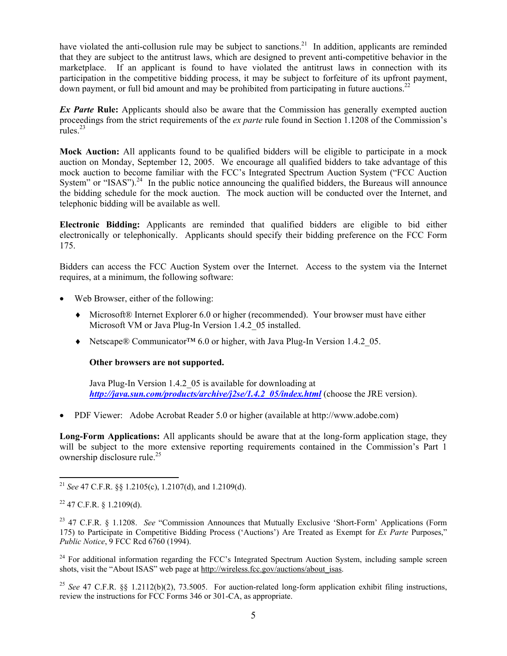have violated the anti-collusion rule may be subject to sanctions.<sup>21</sup> In addition, applicants are reminded that they are subject to the antitrust laws, which are designed to prevent anti-competitive behavior in the marketplace. If an applicant is found to have violated the antitrust laws in connection with its participation in the competitive bidding process, it may be subject to forfeiture of its upfront payment, down payment, or full bid amount and may be prohibited from participating in future auctions.<sup>22</sup>

*Ex Parte* Rule: Applicants should also be aware that the Commission has generally exempted auction proceedings from the strict requirements of the *ex parte* rule found in Section 1.1208 of the Commission's rules. $^{23}$ 

**Mock Auction:** All applicants found to be qualified bidders will be eligible to participate in a mock auction on Monday, September 12, 2005. We encourage all qualified bidders to take advantage of this mock auction to become familiar with the FCC's Integrated Spectrum Auction System ("FCC Auction System" or "ISAS"). $^{24}$  In the public notice announcing the qualified bidders, the Bureaus will announce the bidding schedule for the mock auction. The mock auction will be conducted over the Internet, and telephonic bidding will be available as well.

**Electronic Bidding:** Applicants are reminded that qualified bidders are eligible to bid either electronically or telephonically. Applicants should specify their bidding preference on the FCC Form 175.

Bidders can access the FCC Auction System over the Internet. Access to the system via the Internet requires, at a minimum, the following software:

- Web Browser, either of the following:
	- ♦ Microsoft® Internet Explorer 6.0 or higher (recommended). Your browser must have either Microsoft VM or Java Plug-In Version 1.4.2 05 installed.
	- ♦ Netscape® Communicator™ 6.0 or higher, with Java Plug-In Version 1.4.2\_05.

#### **Other browsers are not supported.**

Java Plug-In Version 1.4.2\_05 is available for downloading at *http://java.sun.com/products/archive/j2se/1.4.2\_05/index.html* (choose the JRE version).

• PDF Viewer: Adobe Acrobat Reader 5.0 or higher (available at http://www.adobe.com)

**Long-Form Applications:** All applicants should be aware that at the long-form application stage, they will be subject to the more extensive reporting requirements contained in the Commission's Part 1 ownership disclosure rule.25

<sup>24</sup> For additional information regarding the FCC's Integrated Spectrum Auction System, including sample screen shots, visit the "About ISAS" web page at http://wireless.fcc.gov/auctions/about\_isas.

<sup>25</sup> *See* 47 C.F.R. §§ 1.2112(b)(2), 73.5005. For auction-related long-form application exhibit filing instructions, review the instructions for FCC Forms 346 or 301-CA, as appropriate.

 $\overline{a}$ <sup>21</sup> *See* 47 C.F.R. §§ 1.2105(c), 1.2107(d), and 1.2109(d).

 $22$  47 C.F.R. § 1.2109(d).

<sup>23 47</sup> C.F.R. § 1.1208. *See* "Commission Announces that Mutually Exclusive 'Short-Form' Applications (Form 175) to Participate in Competitive Bidding Process ('Auctions') Are Treated as Exempt for *Ex Parte* Purposes," *Public Notice*, 9 FCC Rcd 6760 (1994).